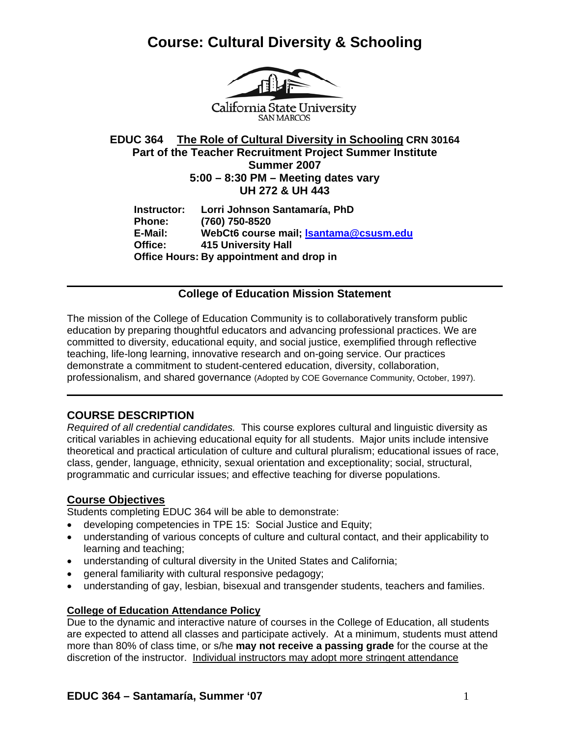

California State University **SAN MARCOS** 

**EDUC 364 The Role of Cultural Diversity in Schooling CRN 30164 Part of the Teacher Recruitment Project Summer Institute Summer 2007 5:00 – 8:30 PM – Meeting dates vary UH 272 & UH 443** 

**Instructor: Lorri Johnson Santamaría, PhD Phone: (760) 750-8520 E-Mail: WebCt6 course mail; lsantama@csusm.edu Office: 415 University Hall Office Hours: By appointment and drop in** 

### **College of Education Mission Statement**

The mission of the College of Education Community is to collaboratively transform public education by preparing thoughtful educators and advancing professional practices. We are committed to diversity, educational equity, and social justice, exemplified through reflective teaching, life-long learning, innovative research and on-going service. Our practices demonstrate a commitment to student-centered education, diversity, collaboration, professionalism, and shared governance (Adopted by COE Governance Community, October, 1997).

### **COURSE DESCRIPTION**

*Required of all credential candidates.* This course explores cultural and linguistic diversity as critical variables in achieving educational equity for all students. Major units include intensive theoretical and practical articulation of culture and cultural pluralism; educational issues of race, class, gender, language, ethnicity, sexual orientation and exceptionality; social, structural, programmatic and curricular issues; and effective teaching for diverse populations.

### **Course Objectives**

Students completing EDUC 364 will be able to demonstrate:

- developing competencies in TPE 15: Social Justice and Equity;
- understanding of various concepts of culture and cultural contact, and their applicability to learning and teaching;
- understanding of cultural diversity in the United States and California;
- general familiarity with cultural responsive pedagogy;
- understanding of gay, lesbian, bisexual and transgender students, teachers and families.

### **College of Education Attendance Policy**

Due to the dynamic and interactive nature of courses in the College of Education, all students are expected to attend all classes and participate actively. At a minimum, students must attend more than 80% of class time, or s/he **may not receive a passing grade** for the course at the discretion of the instructor. Individual instructors may adopt more stringent attendance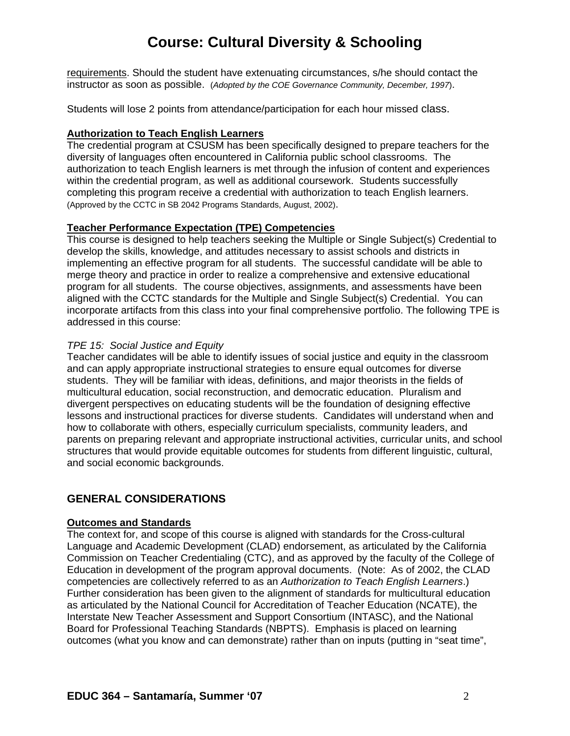requirements. Should the student have extenuating circumstances, s/he should contact the instructor as soon as possible. (*Adopted by the COE Governance Community, December, 1997*).

Students will lose 2 points from attendance/participation for each hour missed class.

#### **Authorization to Teach English Learners**

The credential program at CSUSM has been specifically designed to prepare teachers for the diversity of languages often encountered in California public school classrooms. The authorization to teach English learners is met through the infusion of content and experiences within the credential program, as well as additional coursework. Students successfully completing this program receive a credential with authorization to teach English learners. (Approved by the CCTC in SB 2042 Programs Standards, August, 2002).

### **Teacher Performance Expectation (TPE) Competencies**

This course is designed to help teachers seeking the Multiple or Single Subject(s) Credential to develop the skills, knowledge, and attitudes necessary to assist schools and districts in implementing an effective program for all students. The successful candidate will be able to merge theory and practice in order to realize a comprehensive and extensive educational program for all students. The course objectives, assignments, and assessments have been aligned with the CCTC standards for the Multiple and Single Subject(s) Credential. You can incorporate artifacts from this class into your final comprehensive portfolio. The following TPE is addressed in this course:

### *TPE 15: Social Justice and Equity*

Teacher candidates will be able to identify issues of social justice and equity in the classroom and can apply appropriate instructional strategies to ensure equal outcomes for diverse students. They will be familiar with ideas, definitions, and major theorists in the fields of multicultural education, social reconstruction, and democratic education. Pluralism and divergent perspectives on educating students will be the foundation of designing effective lessons and instructional practices for diverse students. Candidates will understand when and how to collaborate with others, especially curriculum specialists, community leaders, and parents on preparing relevant and appropriate instructional activities, curricular units, and school structures that would provide equitable outcomes for students from different linguistic, cultural, and social economic backgrounds.

### **GENERAL CONSIDERATIONS**

#### **Outcomes and Standards**

The context for, and scope of this course is aligned with standards for the Cross-cultural Language and Academic Development (CLAD) endorsement, as articulated by the California Commission on Teacher Credentialing (CTC), and as approved by the faculty of the College of Education in development of the program approval documents. (Note: As of 2002, the CLAD competencies are collectively referred to as an *Authorization to Teach English Learners*.) Further consideration has been given to the alignment of standards for multicultural education as articulated by the National Council for Accreditation of Teacher Education (NCATE), the Interstate New Teacher Assessment and Support Consortium (INTASC), and the National Board for Professional Teaching Standards (NBPTS). Emphasis is placed on learning outcomes (what you know and can demonstrate) rather than on inputs (putting in "seat time",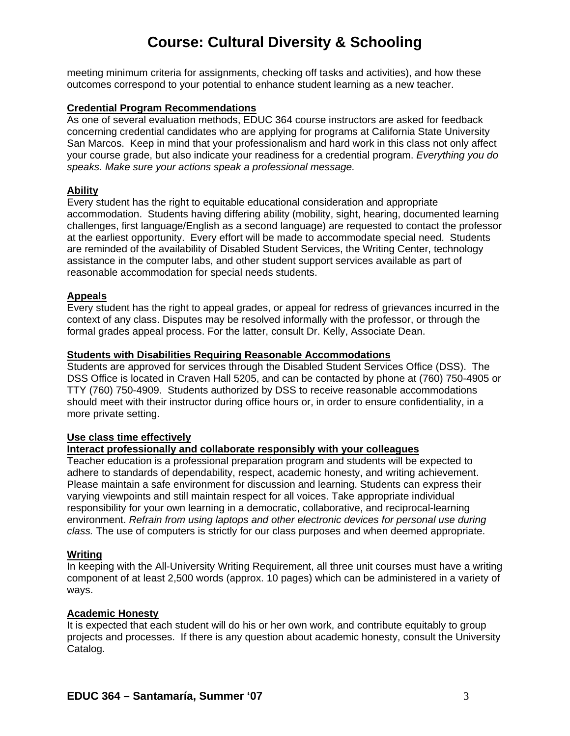meeting minimum criteria for assignments, checking off tasks and activities), and how these outcomes correspond to your potential to enhance student learning as a new teacher.

#### **Credential Program Recommendations**

As one of several evaluation methods, EDUC 364 course instructors are asked for feedback concerning credential candidates who are applying for programs at California State University San Marcos. Keep in mind that your professionalism and hard work in this class not only affect your course grade, but also indicate your readiness for a credential program. *Everything you do speaks. Make sure your actions speak a professional message.*

#### **Ability**

Every student has the right to equitable educational consideration and appropriate accommodation. Students having differing ability (mobility, sight, hearing, documented learning challenges, first language/English as a second language) are requested to contact the professor at the earliest opportunity. Every effort will be made to accommodate special need. Students are reminded of the availability of Disabled Student Services, the Writing Center, technology assistance in the computer labs, and other student support services available as part of reasonable accommodation for special needs students.

#### **Appeals**

Every student has the right to appeal grades, or appeal for redress of grievances incurred in the context of any class. Disputes may be resolved informally with the professor, or through the formal grades appeal process. For the latter, consult Dr. Kelly, Associate Dean.

#### **Students with Disabilities Requiring Reasonable Accommodations**

Students are approved for services through the Disabled Student Services Office (DSS). The DSS Office is located in Craven Hall 5205, and can be contacted by phone at (760) 750-4905 or TTY (760) 750-4909. Students authorized by DSS to receive reasonable accommodations should meet with their instructor during office hours or, in order to ensure confidentiality, in a more private setting.

#### **Use class time effectively**

#### **Interact professionally and collaborate responsibly with your colleagues**

Teacher education is a professional preparation program and students will be expected to adhere to standards of dependability, respect, academic honesty, and writing achievement. Please maintain a safe environment for discussion and learning. Students can express their varying viewpoints and still maintain respect for all voices. Take appropriate individual responsibility for your own learning in a democratic, collaborative, and reciprocal-learning environment. *Refrain from using laptops and other electronic devices for personal use during class.* The use of computers is strictly for our class purposes and when deemed appropriate.

#### **Writing**

In keeping with the All-University Writing Requirement, all three unit courses must have a writing component of at least 2,500 words (approx. 10 pages) which can be administered in a variety of ways.

#### **Academic Honesty**

It is expected that each student will do his or her own work, and contribute equitably to group projects and processes. If there is any question about academic honesty, consult the University Catalog.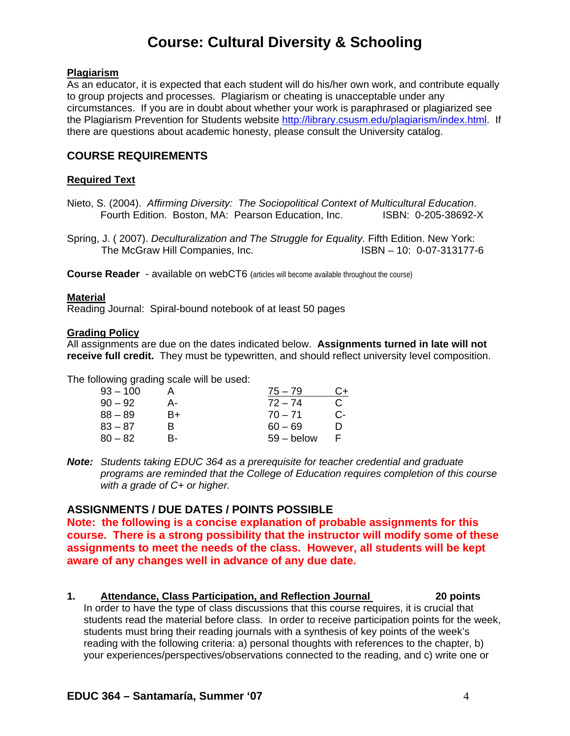#### **Plagiarism**

As an educator, it is expected that each student will do his/her own work, and contribute equally to group projects and processes. Plagiarism or cheating is unacceptable under any circumstances. If you are in doubt about whether your work is paraphrased or plagiarized see the Plagiarism Prevention for Students website http://library.csusm.edu/plagiarism/index.html. If there are questions about academic honesty, please consult the University catalog.

### **COURSE REQUIREMENTS**

#### **Required Text**

Nieto, S. (2004). *Affirming Diversity: The Sociopolitical Context of Multicultural Education*. Fourth Edition. Boston, MA: Pearson Education, Inc. ISBN: 0-205-38692-X

Spring, J. ( 2007). *Deculturalization and The Struggle for Equality*. Fifth Edition. New York: The McGraw Hill Companies, Inc. ISBN – 10: 0-07-313177-6

**Course Reader** - available on webCT6 (articles will become available throughout the course)

#### **Material**

Reading Journal: Spiral-bound notebook of at least 50 pages

#### **Grading Policy**

All assignments are due on the dates indicated below. **Assignments turned in late will not receive full credit.** They must be typewritten, and should reflect university level composition.

The following grading scale will be used:

|    | $75 - 79$    | C+ |
|----|--------------|----|
| А- | $72 - 74$    | C  |
| B+ | $70 - 71$    | С- |
| R  | $60 - 69$    | D  |
| в- | $59 -$ below | E  |
|    |              |    |

*Note: Students taking EDUC 364 as a prerequisite for teacher credential and graduate programs are reminded that the College of Education requires completion of this course with a grade of C+ or higher.* 

#### **ASSIGNMENTS / DUE DATES / POINTS POSSIBLE**

**Note: the following is a concise explanation of probable assignments for this course. There is a strong possibility that the instructor will modify some of these assignments to meet the needs of the class. However, all students will be kept aware of any changes well in advance of any due date.** 

#### **1. Attendance, Class Participation, and Reflection Journal 20 points**

In order to have the type of class discussions that this course requires, it is crucial that students read the material before class. In order to receive participation points for the week, students must bring their reading journals with a synthesis of key points of the week's reading with the following criteria: a) personal thoughts with references to the chapter, b) your experiences/perspectives/observations connected to the reading, and c) write one or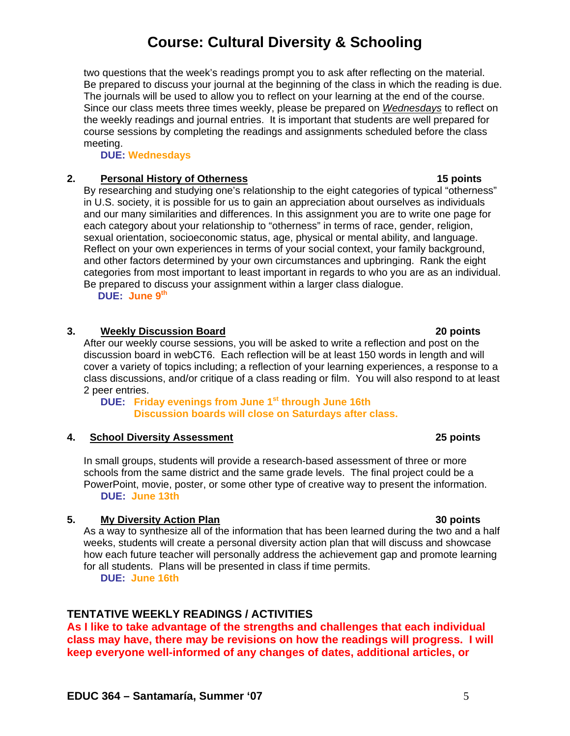two questions that the week's readings prompt you to ask after reflecting on the material. Be prepared to discuss your journal at the beginning of the class in which the reading is due. The journals will be used to allow you to reflect on your learning at the end of the course. Since our class meets three times weekly, please be prepared on *Wednesdays* to reflect on the weekly readings and journal entries. It is important that students are well prepared for course sessions by completing the readings and assignments scheduled before the class meeting.

**DUE: Wednesdays**

### **2. Personal History of Otherness 15 points**

By researching and studying one's relationship to the eight categories of typical "otherness" in U.S. society, it is possible for us to gain an appreciation about ourselves as individuals and our many similarities and differences. In this assignment you are to write one page for each category about your relationship to "otherness" in terms of race, gender, religion, sexual orientation, socioeconomic status, age, physical or mental ability, and language. Reflect on your own experiences in terms of your social context, your family background, and other factors determined by your own circumstances and upbringing. Rank the eight categories from most important to least important in regards to who you are as an individual. Be prepared to discuss your assignment within a larger class dialogue. **DUE: June 9th** 

#### **3. Weekly Discussion Board 20 points**

After our weekly course sessions, you will be asked to write a reflection and post on the discussion board in webCT6. Each reflection will be at least 150 words in length and will cover a variety of topics including; a reflection of your learning experiences, a response to a class discussions, and/or critique of a class reading or film. You will also respond to at least 2 peer entries.

**DUE: Friday evenings from June 1st through June 16th Discussion boards will close on Saturdays after class.** 

#### **4. School Diversity Assessment 25 points**

In small groups, students will provide a research-based assessment of three or more schools from the same district and the same grade levels. The final project could be a PowerPoint, movie, poster, or some other type of creative way to present the information. **DUE: June 13th**

#### **5. My Diversity Action Plan 30 points**

As a way to synthesize all of the information that has been learned during the two and a half weeks, students will create a personal diversity action plan that will discuss and showcase how each future teacher will personally address the achievement gap and promote learning for all students. Plans will be presented in class if time permits.  **DUE: June 16th** 

### **TENTATIVE WEEKLY READINGS / ACTIVITIES**

**As I like to take advantage of the strengths and challenges that each individual class may have, there may be revisions on how the readings will progress. I will keep everyone well-informed of any changes of dates, additional articles, or**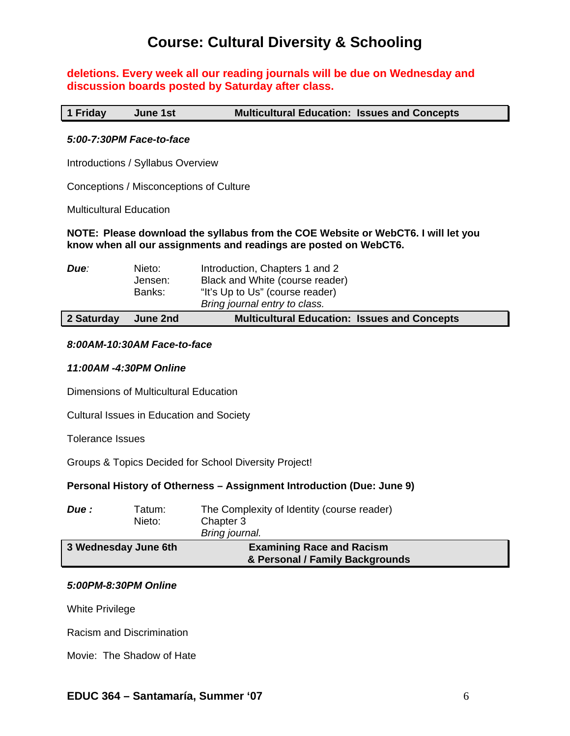### **deletions. Every week all our reading journals will be due on Wednesday and discussion boards posted by Saturday after class.**

**1 Friday June 1st Multicultural Education: Issues and Concepts** 

#### *5:00-7:30PM Face-to-face*

Introductions / Syllabus Overview

Conceptions / Misconceptions of Culture

Multicultural Education

#### **NOTE: Please download the syllabus from the COE Website or WebCT6. I will let you know when all our assignments and readings are posted on WebCT6.**

| 2 Saturday<br>June 2nd              |                                                                                                    | <b>Multicultural Education: Issues and Concepts</b> |  |
|-------------------------------------|----------------------------------------------------------------------------------------------------|-----------------------------------------------------|--|
| Nieto:<br>Due:<br>Jensen:<br>Banks: | Introduction, Chapters 1 and 2<br>"It's Up to Us" (course reader)<br>Bring journal entry to class. | Black and White (course reader)                     |  |

#### *8:00AM-10:30AM Face-to-face*

#### *11:00AM -4:30PM Online*

Dimensions of Multicultural Education

Cultural Issues in Education and Society

Tolerance Issues

Groups & Topics Decided for School Diversity Project!

#### **Personal History of Otherness – Assignment Introduction (Due: June 9)**

| Due :                | Tatum:<br>Nieto: | The Complexity of Identity (course reader)<br>Chapter 3<br>Bring journal. |
|----------------------|------------------|---------------------------------------------------------------------------|
| 3 Wednesday June 6th |                  | <b>Examining Race and Racism</b><br>& Personal / Family Backgrounds       |

#### *5:00PM-8:30PM Online*

White Privilege

Racism and Discrimination

Movie: The Shadow of Hate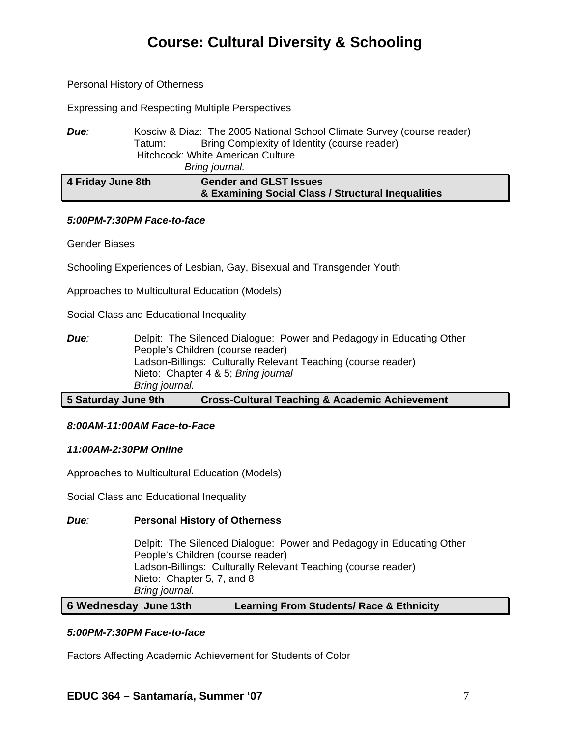#### Personal History of Otherness

Expressing and Respecting Multiple Perspectives

| Due:              | Kosciw & Diaz: The 2005 National School Climate Survey (course reader) |  |  |
|-------------------|------------------------------------------------------------------------|--|--|
|                   | Bring Complexity of Identity (course reader)<br>Tatum: I               |  |  |
|                   | <b>Hitchcock: White American Culture</b>                               |  |  |
|                   | Bring journal.                                                         |  |  |
| 4 Friday June 8th | <b>Gender and GLST Issues</b>                                          |  |  |
|                   | & Examining Social Class / Structural Inequalities                     |  |  |

#### *5:00PM-7:30PM Face-to-face*

Gender Biases

Schooling Experiences of Lesbian, Gay, Bisexual and Transgender Youth

Approaches to Multicultural Education (Models)

Social Class and Educational Inequality

| Due:                | Delpit: The Silenced Dialogue: Power and Pedagogy in Educating Other<br>People's Children (course reader) |
|---------------------|-----------------------------------------------------------------------------------------------------------|
|                     | Ladson-Billings: Culturally Relevant Teaching (course reader)                                             |
|                     | Nieto: Chapter 4 & 5; Bring journal                                                                       |
|                     | Bring journal.                                                                                            |
| 5 Saturday June 9th | <b>Cross-Cultural Teaching &amp; Academic Achievement</b>                                                 |

# *8:00AM-11:00AM Face-to-Face*

### *11:00AM-2:30PM Online*

Approaches to Multicultural Education (Models)

Social Class and Educational Inequality

#### *Due:* **Personal History of Otherness**

Delpit: The Silenced Dialogue: Power and Pedagogy in Educating Other People's Children (course reader) Ladson-Billings: Culturally Relevant Teaching (course reader) Nieto: Chapter 5, 7, and 8 *Bring journal.* 

#### **6 Wednesday June 13th Learning From Students/ Race & Ethnicity**

#### *5:00PM-7:30PM Face-to-face*

Factors Affecting Academic Achievement for Students of Color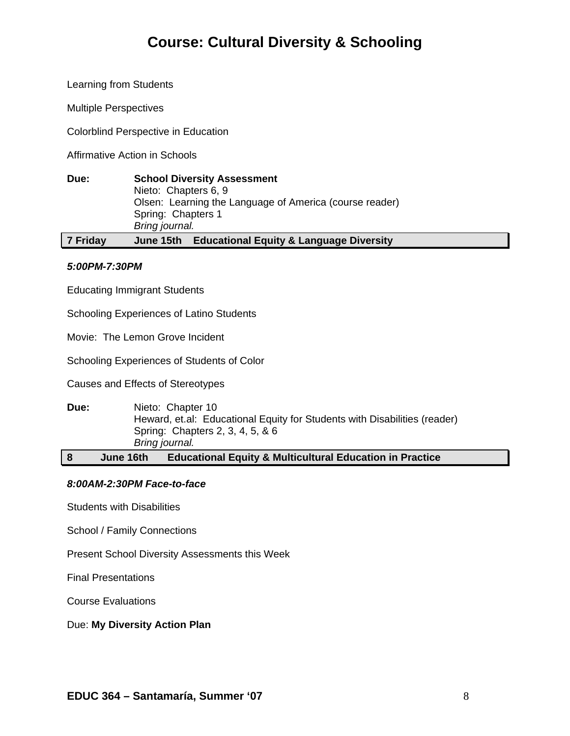Learning from Students

Multiple Perspectives

Colorblind Perspective in Education

Affirmative Action in Schools

| Due:     | <b>School Diversity Assessment</b><br>Nieto: Chapters 6, 9<br>Olsen: Learning the Language of America (course reader)<br>Spring: Chapters 1<br>Bring journal. |  |
|----------|---------------------------------------------------------------------------------------------------------------------------------------------------------------|--|
| 7 Friday | <b>Educational Equity &amp; Language Diversity</b><br>June 15th                                                                                               |  |

#### *5:00PM-7:30PM*

Educating Immigrant Students

Schooling Experiences of Latino Students

Movie: The Lemon Grove Incident

Schooling Experiences of Students of Color

Causes and Effects of Stereotypes

**Due:** Nieto: Chapter 10 Heward, et.al: Educational Equity for Students with Disabilities (reader) Spring: Chapters 2, 3, 4, 5, & 6 *Bring journal.* 

**8 June 16th Educational Equity & Multicultural Education in Practice** 

#### *8:00AM-2:30PM Face-to-face*

Students with Disabilities

School / Family Connections

Present School Diversity Assessments this Week

Final Presentations

Course Evaluations

Due: **My Diversity Action Plan**